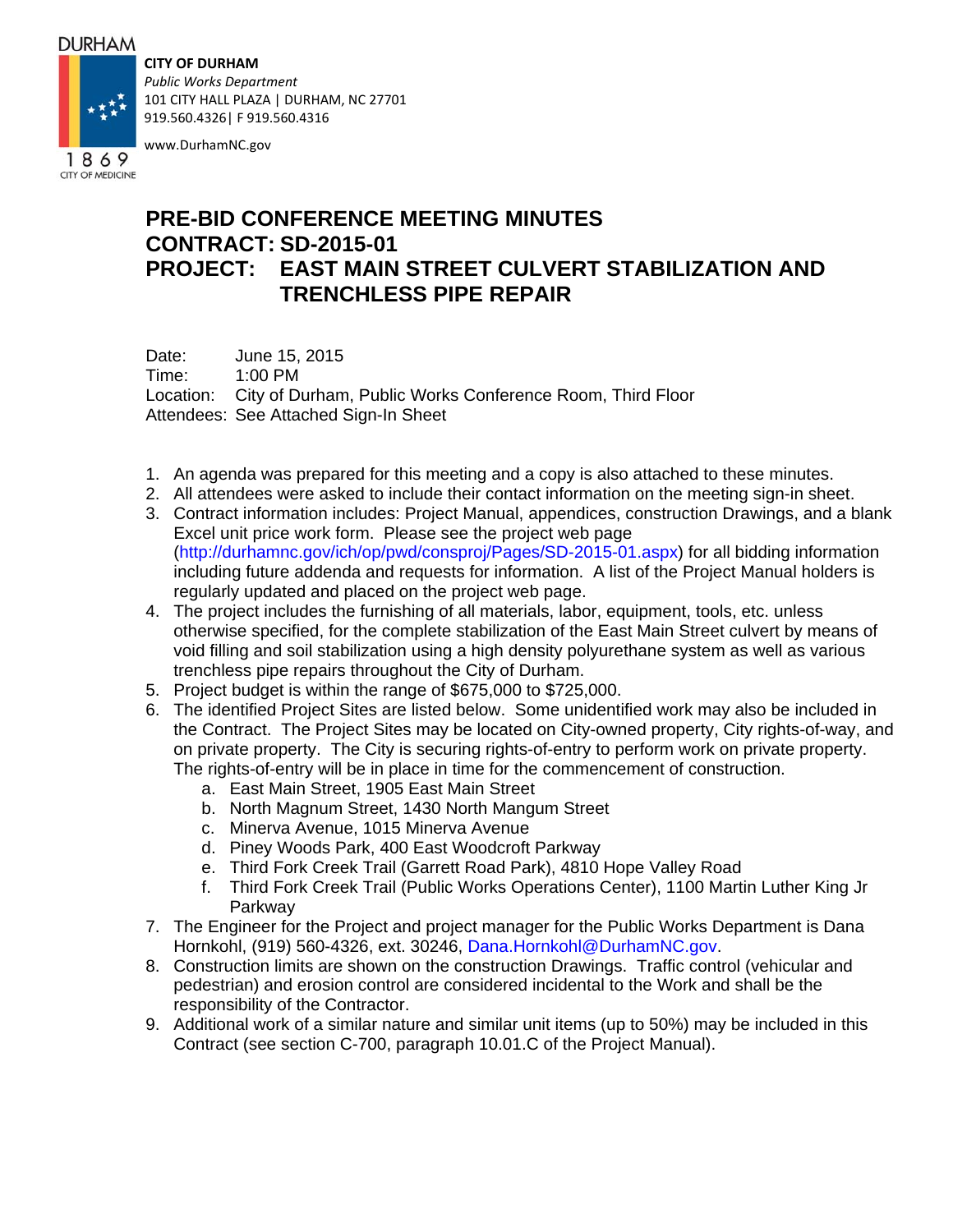## **DURHAM**

**CITY OF DURHAM**



101 CITY HALL PLAZA | DURHAM, NC 27701 919.560.4326| F 919.560.4316

www.DurhamNC.gov

## **PRE-BID CONFERENCE MEETING MINUTES CONTRACT: SD-2015-01 PROJECT: EAST MAIN STREET CULVERT STABILIZATION AND TRENCHLESS PIPE REPAIR**

Date: June 15, 2015 Time: 1:00 PM Location: City of Durham, Public Works Conference Room, Third Floor Attendees: See Attached Sign-In Sheet

- 1. An agenda was prepared for this meeting and a copy is also attached to these minutes.
- 2. All attendees were asked to include their contact information on the meeting sign-in sheet.
- 3. Contract information includes: Project Manual, appendices, construction Drawings, and a blank Excel unit price work form. Please see the project web page (http://durhamnc.gov/ich/op/pwd/consproj/Pages/SD-2015-01.aspx) for all bidding information including future addenda and requests for information. A list of the Project Manual holders is regularly updated and placed on the project web page.
- 4. The project includes the furnishing of all materials, labor, equipment, tools, etc. unless otherwise specified, for the complete stabilization of the East Main Street culvert by means of void filling and soil stabilization using a high density polyurethane system as well as various trenchless pipe repairs throughout the City of Durham.
- 5. Project budget is within the range of \$675,000 to \$725,000.
- 6. The identified Project Sites are listed below. Some unidentified work may also be included in the Contract. The Project Sites may be located on City-owned property, City rights-of-way, and on private property. The City is securing rights-of-entry to perform work on private property. The rights-of-entry will be in place in time for the commencement of construction.
	- a. East Main Street, 1905 East Main Street
	- b. North Magnum Street, 1430 North Mangum Street
	- c. Minerva Avenue, 1015 Minerva Avenue
	- d. Piney Woods Park, 400 East Woodcroft Parkway
	- e. Third Fork Creek Trail (Garrett Road Park), 4810 Hope Valley Road
	- f. Third Fork Creek Trail (Public Works Operations Center), 1100 Martin Luther King Jr Parkway
- 7. The Engineer for the Project and project manager for the Public Works Department is Dana Hornkohl, (919) 560-4326, ext. 30246, Dana.Hornkohl@DurhamNC.gov.
- 8. Construction limits are shown on the construction Drawings. Traffic control (vehicular and pedestrian) and erosion control are considered incidental to the Work and shall be the responsibility of the Contractor.
- 9. Additional work of a similar nature and similar unit items (up to 50%) may be included in this Contract (see section C-700, paragraph 10.01.C of the Project Manual).